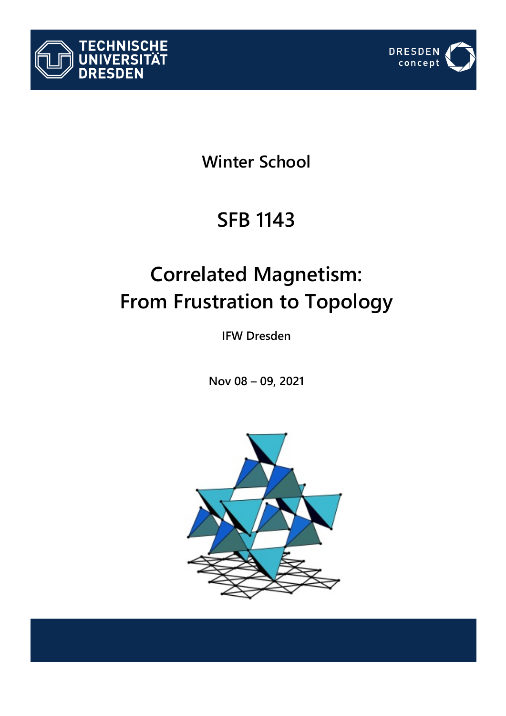



## **Winter School**

## **SFB 1143**

# **Correlated Magnetism: From Frustration to Topology**

**IFW Dresden**

**Nov 08 – 09, 2021**

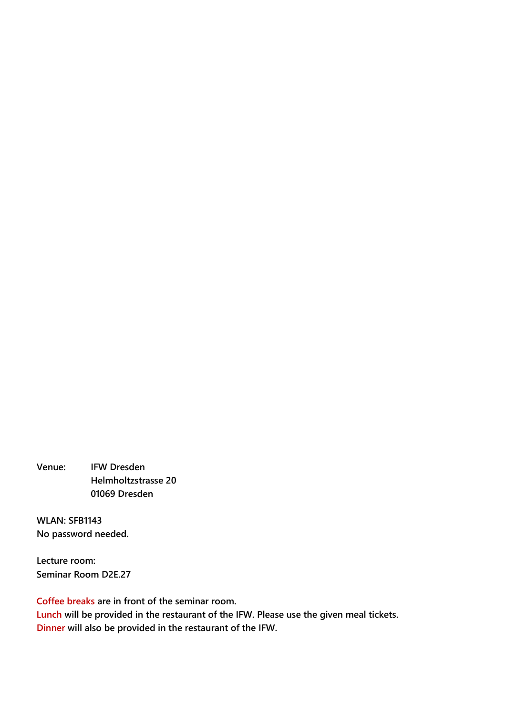**Venue: IFW Dresden Helmholtzstrasse 20 01069 Dresden**

**WLAN: SFB1143 No password needed.**

**Lecture room: Seminar Room D2E.27**

**Coffee breaks are in front of the seminar room. Lunch will be provided in the restaurant of the IFW. Please use the given meal tickets. Dinner will also be provided in the restaurant of the IFW.**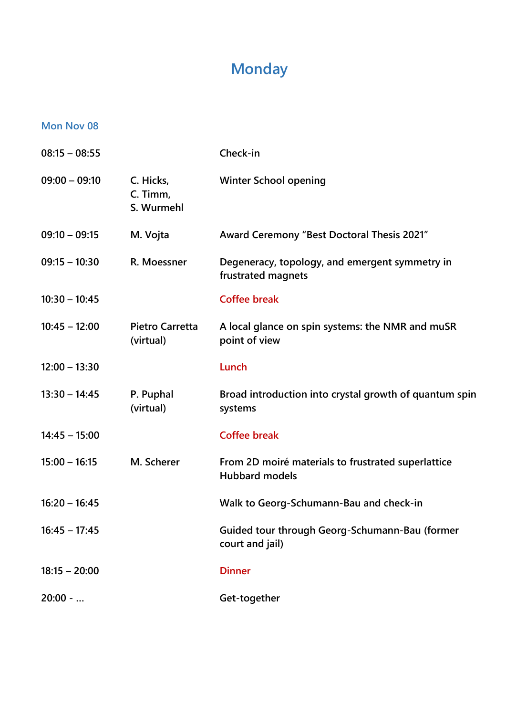### **Monday**

#### **Mon Nov 08**

| $08:15 - 08:55$ |                                     | Check-in                                                                    |
|-----------------|-------------------------------------|-----------------------------------------------------------------------------|
| $09:00 - 09:10$ | C. Hicks,<br>C. Timm,<br>S. Wurmehl | <b>Winter School opening</b>                                                |
| $09:10 - 09:15$ | M. Vojta                            | Award Ceremony "Best Doctoral Thesis 2021"                                  |
| $09:15 - 10:30$ | R. Moessner                         | Degeneracy, topology, and emergent symmetry in<br>frustrated magnets        |
| $10:30 - 10:45$ |                                     | <b>Coffee break</b>                                                         |
| $10:45 - 12:00$ | <b>Pietro Carretta</b><br>(virtual) | A local glance on spin systems: the NMR and muSR<br>point of view           |
| $12:00 - 13:30$ |                                     | Lunch                                                                       |
| $13:30 - 14:45$ | P. Puphal<br>(virtual)              | Broad introduction into crystal growth of quantum spin<br>systems           |
| $14:45 - 15:00$ |                                     | <b>Coffee break</b>                                                         |
| $15:00 - 16:15$ | M. Scherer                          | From 2D moiré materials to frustrated superlattice<br><b>Hubbard models</b> |
| $16:20 - 16:45$ |                                     | Walk to Georg-Schumann-Bau and check-in                                     |
| $16:45 - 17:45$ |                                     | Guided tour through Georg-Schumann-Bau (former<br>court and jail)           |
| $18:15 - 20:00$ |                                     | <b>Dinner</b>                                                               |
| $20:00 - $      |                                     | Get-together                                                                |